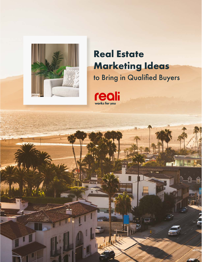

# **Real Estate Marketing Ideas** to Bring in Qualified Buyers



m

m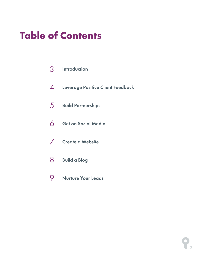# **Table of Contents**

- Introduction 3
- Leverage Positive Client Feedback 4
- Build Partnerships 5
- Get on Social Media 6
- Create a Website 7
- Build a Blog 8
- Nurture Your Leads 9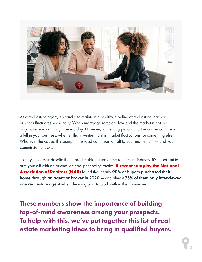

As a real estate agent, it's crucial to maintain a healthy pipeline of real estate leads as business fluctuates seasonally. When mortgage rates are low and the market is hot, you may have leads coming in every day. However, something just around the corner can mean a lull in your business, whether that's winter months, market fluctuations, or something else. Whatever the cause, this bump in the road can mean a halt to your momentum — and your commission checks.

To stay successful despite the unpredictable nature of the real estate industry, it's important to arm yourself with an arsenal of lead-generating tactics. **[A recent study by the National](https://www.nar.realtor/research-and-statistics/research-reports/highlights-from-the-profile-of-home-buyers-and-sellers)  [Association of Realtors \(NAR\)](https://www.nar.realtor/research-and-statistics/research-reports/highlights-from-the-profile-of-home-buyers-and-sellers)** found that nearly 90% of buyers purchased their home through an agent or broker in 2020 — and almost 75% of them only interviewed one real estate agent when deciding who to work with in their home search.

These numbers show the importance of building top-of-mind awareness among your prospects. To help with this, we've put together this list of real estate marketing ideas to bring in qualified buyers.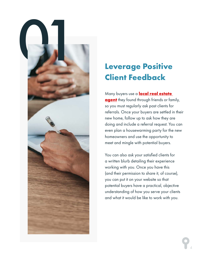

## **Leverage Positive Client Feedback**

Many buyers use a **[local real estate](https://reali.com/real-estate-agents?utm_source=mktg-ebook&utm_medium=organic&utm_campaign=agentrecruitin&utm_content=marketingideasforagents)  [agent](https://reali.com/real-estate-agents?utm_source=mktg-ebook&utm_medium=organic&utm_campaign=agentrecruitin&utm_content=marketingideasforagents)** they found through friends or family, so you must regularly ask past clients for referrals. Once your buyers are settled in their new home, follow up to ask how they are doing and include a referral request. You can even plan a housewarming party for the new homeowners and use the opportunity to meet and mingle with potential buyers.

You can also ask your satisfied clients for a written blurb detailing their experience working with you. Once you have this (and their permission to share it, of course), you can put it on your website so that potential buyers have a practical, objective understanding of how you serve your clients and what it would be like to work with you.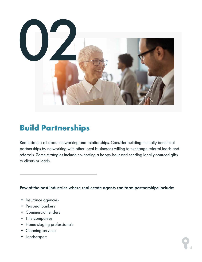

## **Build Partnerships**

Real estate is all about networking and relationships. Consider building mutually beneficial partnerships by networking with other local businesses willing to exchange referral leads and referrals. Some strategies include co-hosting a happy hour and sending locally-sourced gifts to clients or leads.

Few of the best industries where real estate agents can form partnerships include:

- Insurance agencies
- Personal bankers
- Commercial lenders
- Title companies
- Home staging professionals
- Cleaning services
- Landscapers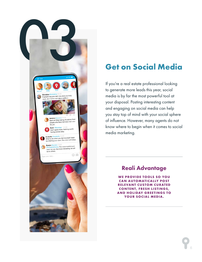

## **Get on Social Media**

If you're a real estate professional looking to generate more leads this year, social media is by far the most powerful tool at your disposal. Posting interesting content and engaging on social media can help you stay top of mind with your social sphere of influence. However, many agents do not know where to begin when it comes to social media marketing.

#### Reali Advantage

**WE PROVIDE TOOLS SO YOU CAN AUTOMATICALLY POST RELEVANT CUSTOM CURATED CONTENT, FRESH LISTINGS, AND HOLIDAY GREETINGS TO YOUR SOCIAL MEDIA.**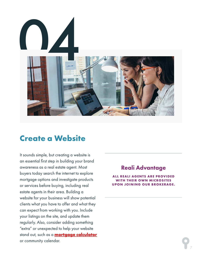

#### **Create a Website**

It sounds simple, but creating a website is an essential first step in building your brand awareness as a real estate agent. Most buyers today search the internet to explore mortgage options and investigate products or services before buying, including real estate agents in their area. Building a website for your business will show potential clients what you have to offer and what they can expect from working with you. Include your listings on the site, and update them regularly. Also, consider adding something "extra" or unexpected to help your website stand out, such as a **[mortgage calculator](https://www.mortgagecalculator.org/)** or community calendar.

#### Reali Advantage

**ALL REALI AGENTS ARE PROVIDED WITH THEIR OWN MICROSITES UPON JOINING OUR BROKERAGE.**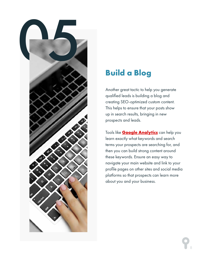

### **Build a Blog**

Another great tactic to help you generate qualified leads is building a blog and creating SEO-optimized custom content. This helps to ensure that your posts show up in search results, bringing in new prospects and leads.

Tools like **[Google Analytics](https://analytics.google.com/analytics/web/provision/#/provision)** can help you learn exactly what keywords and search terms your prospects are searching for, and then you can build strong content around these keywords. Ensure an easy way to navigate your main website and link to your profile pages on other sites and social media platforms so that prospects can learn more about you and your business.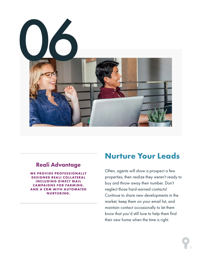

#### Reali Advantage

**WE PROVIDE PROFESSIONALLY DESIGNED REALI COLLATERAL INCLUDING DIRECT MAIL CAMPAIGNS FOR FARMING, AND A CRM WITH AUTOMATED NURTURING.** 

### **Nurture Your Leads**

Often, agents will show a prospect a few properties, then realize they weren't ready to buy and throw away their number. Don't neglect those hard-earned contacts! Continue to share new developments in the market, keep them on your email list, and maintain contact occasionally to let them know that you'd still love to help them find their new home when the time is right.